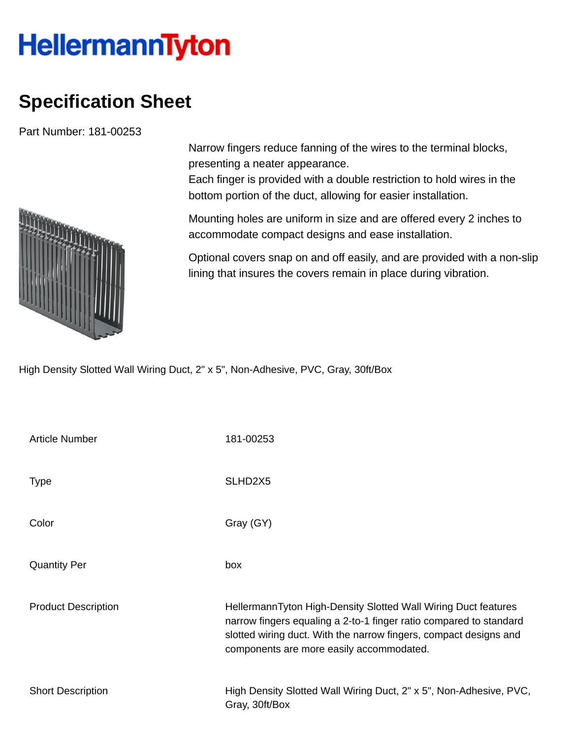## **HellermannTyton**

## **Specification Sheet**

Part Number: 181-00253



Narrow fingers reduce fanning of the wires to the terminal blocks, presenting a neater appearance.

Each finger is provided with a double restriction to hold wires in the bottom portion of the duct, allowing for easier installation.

Mounting holes are uniform in size and are offered every 2 inches to accommodate compact designs and ease installation.

Optional covers snap on and off easily, and are provided with a non-slip lining that insures the covers remain in place during vibration.

High Density Slotted Wall Wiring Duct, 2" x 5", Non-Adhesive, PVC, Gray, 30ft/Box

| <b>Article Number</b>      | 181-00253                                                                                                                                                                                                                                             |
|----------------------------|-------------------------------------------------------------------------------------------------------------------------------------------------------------------------------------------------------------------------------------------------------|
| <b>Type</b>                | SLHD <sub>2</sub> X <sub>5</sub>                                                                                                                                                                                                                      |
| Color                      | Gray (GY)                                                                                                                                                                                                                                             |
| <b>Quantity Per</b>        | box                                                                                                                                                                                                                                                   |
| <b>Product Description</b> | HellermannTyton High-Density Slotted Wall Wiring Duct features<br>narrow fingers equaling a 2-to-1 finger ratio compared to standard<br>slotted wiring duct. With the narrow fingers, compact designs and<br>components are more easily accommodated. |
| <b>Short Description</b>   | High Density Slotted Wall Wiring Duct, 2" x 5", Non-Adhesive, PVC,<br>Gray, 30ft/Box                                                                                                                                                                  |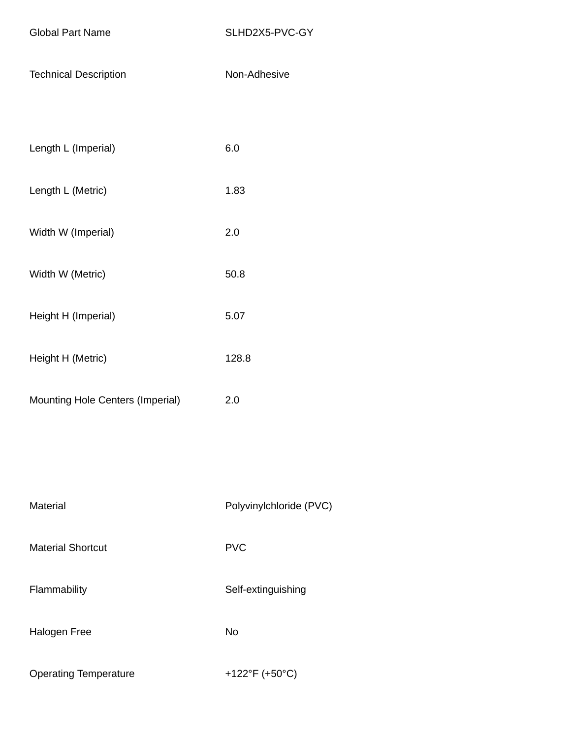Technical Description Non-Adhesive

| Length L (Imperial) | 6.0 |
|---------------------|-----|
|                     |     |

- Length L (Metric) 1.83
- Width W (Imperial) 2.0
- Width W (Metric) 50.8
- Height H (Imperial) 5.07
- Height H (Metric) 128.8
- Mounting Hole Centers (Imperial) 2.0

Material Material Polyvinylchloride (PVC) Material Shortcut **PVC** Flammability Self-extinguishing Halogen Free No Operating Temperature +122°F (+50°C)